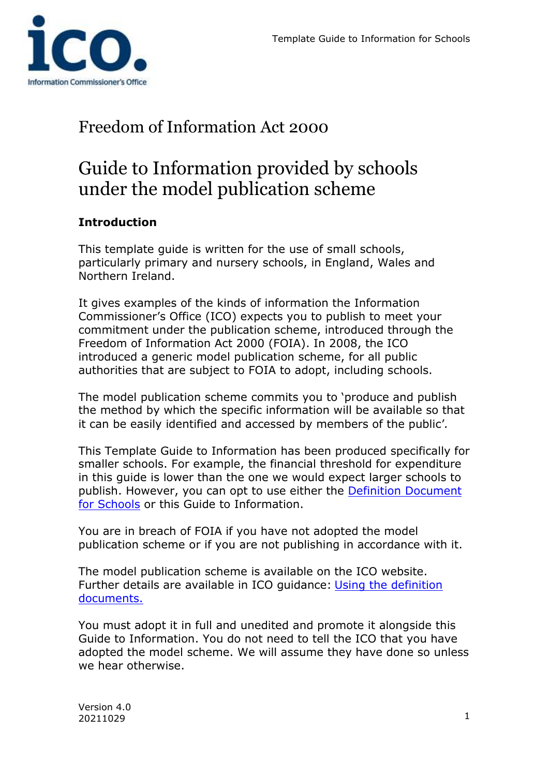

## Freedom of Information Act 2000

# Guide to Information provided by schools under the model publication scheme

### **Introduction**

This template guide is written for the use of small schools, particularly primary and nursery schools, in England, Wales and Northern Ireland.

It gives examples of the kinds of information the Information Commissioner's Office (ICO) expects you to publish to meet your commitment under the publication scheme, introduced through the Freedom of Information Act 2000 (FOIA). In 2008, the ICO introduced a generic model publication scheme, for all public authorities that are subject to FOIA to adopt, including schools.

The model publication scheme commits you to 'produce and publish the method by which the specific information will be available so that it can be easily identified and accessed by members of the public'*.*

This Template Guide to Information has been produced specifically for smaller schools. For example, the financial threshold for expenditure in this guide is lower than the one we would expect larger schools to publish. However, you can opt to use either the [Definition Document](https://ico.org.uk/for-organisations/guide-to-freedom-of-information/publication-scheme/definition-documents/)  [for Schools](https://ico.org.uk/for-organisations/guide-to-freedom-of-information/publication-scheme/definition-documents/) or this Guide to Information.

You are in breach of FOIA if you have not adopted the model publication scheme or if you are not publishing in accordance with it.

The model publication scheme is available on the ICO website. Further details are available in ICO guidance: [Using the definition](https://ico.org.uk/media/for-organisations/documents/1157/usingthedefinitiondocuments.pdf)  [documents.](https://ico.org.uk/media/for-organisations/documents/1157/usingthedefinitiondocuments.pdf)

You must adopt it in full and unedited and promote it alongside this Guide to Information. You do not need to tell the ICO that you have adopted the model scheme. We will assume they have done so unless we hear otherwise.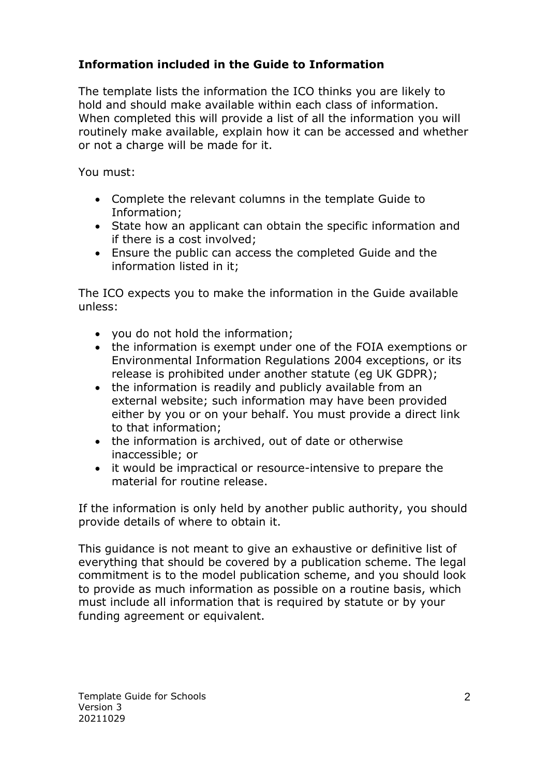### **Information included in the Guide to Information**

The template lists the information the ICO thinks you are likely to hold and should make available within each class of information. When completed this will provide a list of all the information you will routinely make available, explain how it can be accessed and whether or not a charge will be made for it.

You must:

- Complete the relevant columns in the template Guide to Information;
- State how an applicant can obtain the specific information and if there is a cost involved;
- Ensure the public can access the completed Guide and the information listed in it;

The ICO expects you to make the information in the Guide available unless:

- you do not hold the information;
- the information is exempt under one of the FOIA exemptions or Environmental Information Regulations 2004 exceptions, or its release is prohibited under another statute (eg UK GDPR);
- the information is readily and publicly available from an external website; such information may have been provided either by you or on your behalf. You must provide a direct link to that information;
- the information is archived, out of date or otherwise inaccessible; or
- it would be impractical or resource-intensive to prepare the material for routine release.

If the information is only held by another public authority, you should provide details of where to obtain it.

This guidance is not meant to give an exhaustive or definitive list of everything that should be covered by a publication scheme. The legal commitment is to the model publication scheme, and you should look to provide as much information as possible on a routine basis, which must include all information that is required by statute or by your funding agreement or equivalent.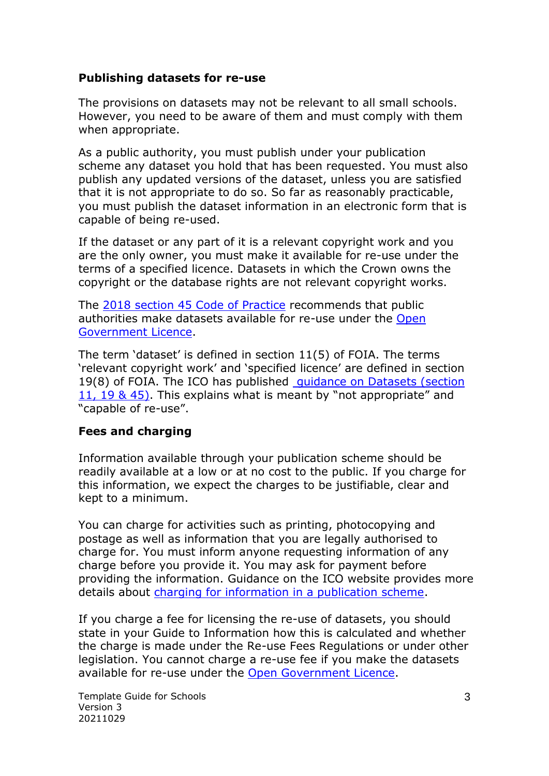#### **Publishing datasets for re-use**

The provisions on datasets may not be relevant to all small schools. However, you need to be aware of them and must comply with them when appropriate.

As a public authority, you must publish under your publication scheme any dataset you hold that has been requested. You must also publish any updated versions of the dataset, unless you are satisfied that it is not appropriate to do so. So far as reasonably practicable, you must publish the dataset information in an electronic form that is capable of being re-used.

If the dataset or any part of it is a relevant copyright work and you are the only owner, you must make it available for re-use under the terms of a specified licence. Datasets in which the Crown owns the copyright or the database rights are not relevant copyright works.

The [2018 section 45 Code of Practice](https://assets.publishing.service.gov.uk/government/uploads/system/uploads/attachment_data/file/744071/CoP_FOI_Code_of_Practice_-_Minor_Amendments_20180926_.pdf) recommends that public authorities make datasets available for re-use under the [Open](http://www.nationalarchives.gov.uk/doc/open-government-licence/version/2/)  [Government Licence.](http://www.nationalarchives.gov.uk/doc/open-government-licence/version/2/)

The term 'dataset' is defined in section 11(5) of FOIA. The terms 'relevant copyright work' and 'specified licence' are defined in section 19(8) of FOIA. The ICO has published quidance on Datasets (section [11, 19 & 45\).](http://www.ico.org.uk/for_organisations/guidance_index/~/media/documents/library/Freedom_of_Information/Detailed_specialist_guides/datasets-foi-guidance.pdf) This explains what is meant by "not appropriate" and "capable of re-use".

#### **Fees and charging**

Information available through your publication scheme should be readily available at a low or at no cost to the public. If you charge for this information, we expect the charges to be justifiable, clear and kept to a minimum.

You can charge for activities such as printing, photocopying and postage as well as information that you are legally authorised to charge for. You must inform anyone requesting information of any charge before you provide it. You may ask for payment before providing the information. Guidance on the ICO website provides more details about [charging for information in a publication scheme.](https://ico.org.uk/for-organisations/guide-to-freedom-of-information/charging-for-information-in-a-publication-scheme/)

If you charge a fee for licensing the re-use of datasets, you should state in your Guide to Information how this is calculated and whether the charge is made under the Re-use Fees Regulations or under other legislation. You cannot charge a re-use fee if you make the datasets available for re-use under the [Open Government Licence.](http://www.nationalarchives.gov.uk/doc/open-government-licence/version/2/)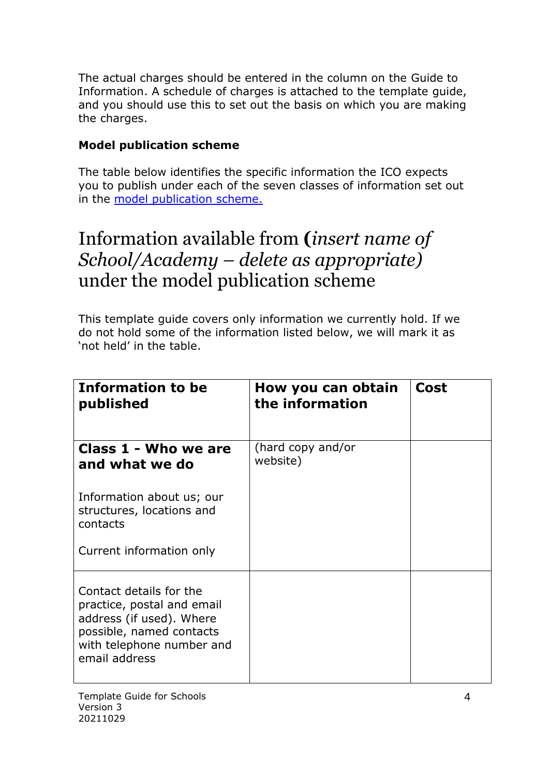The actual charges should be entered in the column on the Guide to Information. A schedule of charges is attached to the template guide, and you should use this to set out the basis on which you are making the charges.

### **Model publication scheme**

The table below identifies the specific information the ICO expects you to publish under each of the seven classes of information set out in the [model publication scheme.](https://ico.org.uk/for-organisations/guide-to-freedom-of-information/publication-scheme/)

## Information available from **(***insert name of School/Academy – delete as appropriate)* under the model publication scheme

This template guide covers only information we currently hold. If we do not hold some of the information listed below, we will mark it as 'not held' in the table.

| <b>Information to be</b><br>published                                                                                                                       | How you can obtain<br>the information | Cost |
|-------------------------------------------------------------------------------------------------------------------------------------------------------------|---------------------------------------|------|
| Class 1 - Who we are<br>and what we do                                                                                                                      | (hard copy and/or<br>website)         |      |
| Information about us; our<br>structures, locations and<br>contacts<br>Current information only                                                              |                                       |      |
| Contact details for the<br>practice, postal and email<br>address (if used). Where<br>possible, named contacts<br>with telephone number and<br>email address |                                       |      |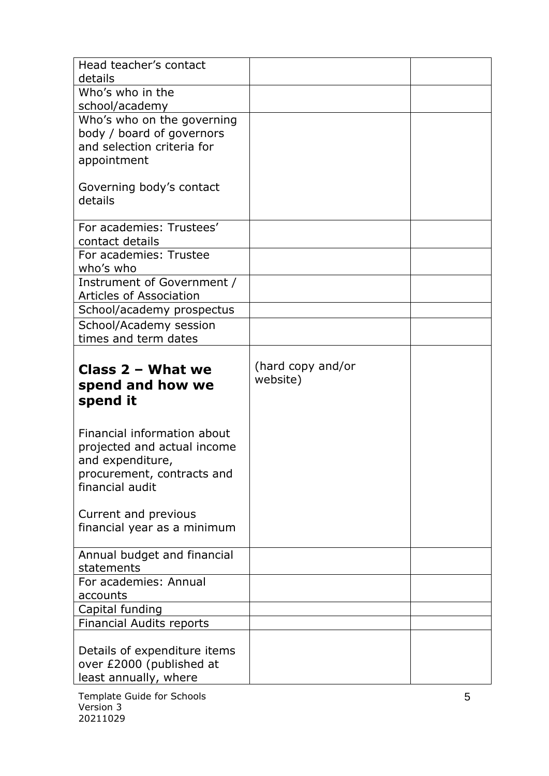| Head teacher's contact<br>details                                                                                               |                               |  |
|---------------------------------------------------------------------------------------------------------------------------------|-------------------------------|--|
| Who's who in the<br>school/academy                                                                                              |                               |  |
| Who's who on the governing<br>body / board of governors<br>and selection criteria for<br>appointment                            |                               |  |
| Governing body's contact<br>details                                                                                             |                               |  |
| For academies: Trustees'<br>contact details                                                                                     |                               |  |
| For academies: Trustee<br>who's who                                                                                             |                               |  |
| Instrument of Government /<br><b>Articles of Association</b>                                                                    |                               |  |
| School/academy prospectus                                                                                                       |                               |  |
| School/Academy session<br>times and term dates                                                                                  |                               |  |
| Class $2 -$ What we<br>spend and how we<br>spend it                                                                             | (hard copy and/or<br>website) |  |
| Financial information about<br>projected and actual income<br>and expenditure,<br>procurement, contracts and<br>financial audit |                               |  |
| Current and previous<br>financial year as a minimum                                                                             |                               |  |
| Annual budget and financial<br>statements                                                                                       |                               |  |
| For academies: Annual<br>accounts                                                                                               |                               |  |
| Capital funding                                                                                                                 |                               |  |
| <b>Financial Audits reports</b>                                                                                                 |                               |  |
| Details of expenditure items<br>over £2000 (published at<br>least annually, where                                               |                               |  |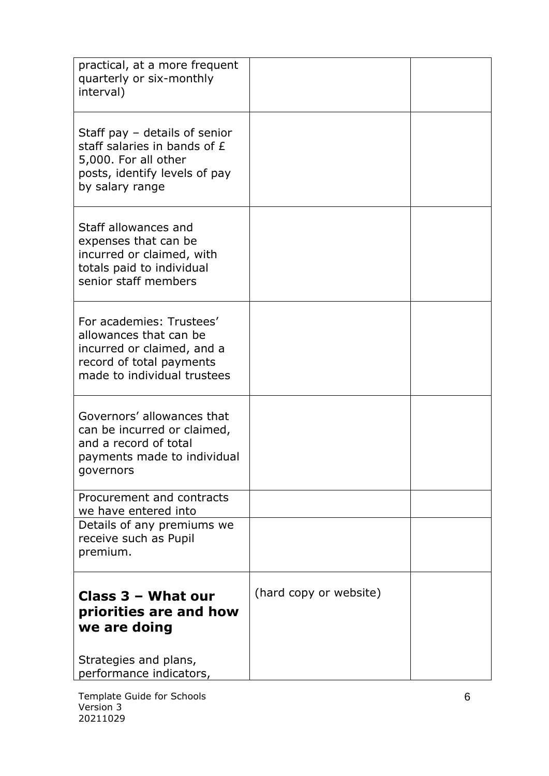| practical, at a more frequent<br>quarterly or six-monthly<br>interval)                                                                      |                        |  |
|---------------------------------------------------------------------------------------------------------------------------------------------|------------------------|--|
| Staff pay $-$ details of senior<br>staff salaries in bands of £<br>5,000. For all other<br>posts, identify levels of pay<br>by salary range |                        |  |
| Staff allowances and<br>expenses that can be<br>incurred or claimed, with<br>totals paid to individual<br>senior staff members              |                        |  |
| For academies: Trustees'<br>allowances that can be<br>incurred or claimed, and a<br>record of total payments<br>made to individual trustees |                        |  |
| Governors' allowances that<br>can be incurred or claimed,<br>and a record of total<br>payments made to individual<br>governors              |                        |  |
| Procurement and contracts<br>we have entered into                                                                                           |                        |  |
| Details of any premiums we<br>receive such as Pupil<br>premium.                                                                             |                        |  |
| Class 3 - What our<br>priorities are and how<br>we are doing<br>Strategies and plans,                                                       | (hard copy or website) |  |
| performance indicators,                                                                                                                     |                        |  |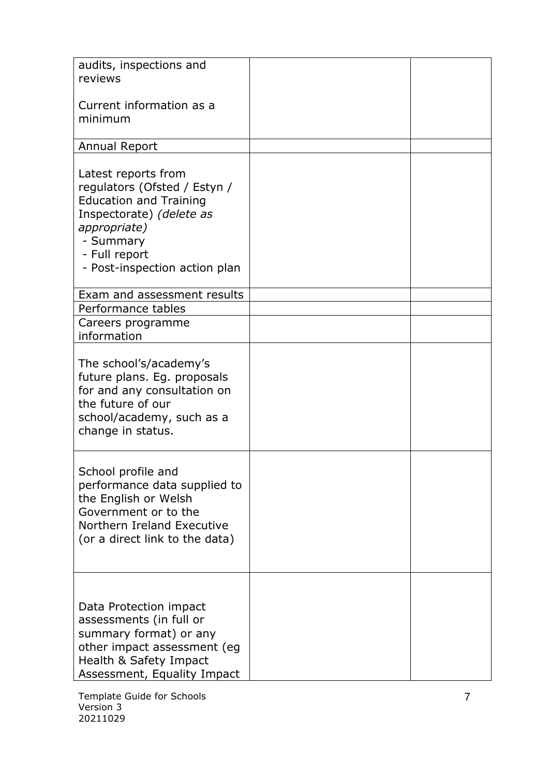| audits, inspections and<br>reviews                                                                                                                                                              |  |
|-------------------------------------------------------------------------------------------------------------------------------------------------------------------------------------------------|--|
| Current information as a<br>minimum                                                                                                                                                             |  |
| <b>Annual Report</b>                                                                                                                                                                            |  |
| Latest reports from<br>regulators (Ofsted / Estyn /<br><b>Education and Training</b><br>Inspectorate) (delete as<br>appropriate)<br>- Summary<br>- Full report<br>- Post-inspection action plan |  |
| Exam and assessment results                                                                                                                                                                     |  |
| Performance tables<br>Careers programme<br>information                                                                                                                                          |  |
| The school's/academy's<br>future plans. Eg. proposals<br>for and any consultation on<br>the future of our<br>school/academy, such as a<br>change in status.                                     |  |
| School profile and<br>performance data supplied to<br>the English or Welsh<br>Government or to the<br>Northern Ireland Executive<br>(or a direct link to the data)                              |  |
| Data Protection impact<br>assessments (in full or<br>summary format) or any<br>other impact assessment (eg<br>Health & Safety Impact<br>Assessment, Equality Impact                             |  |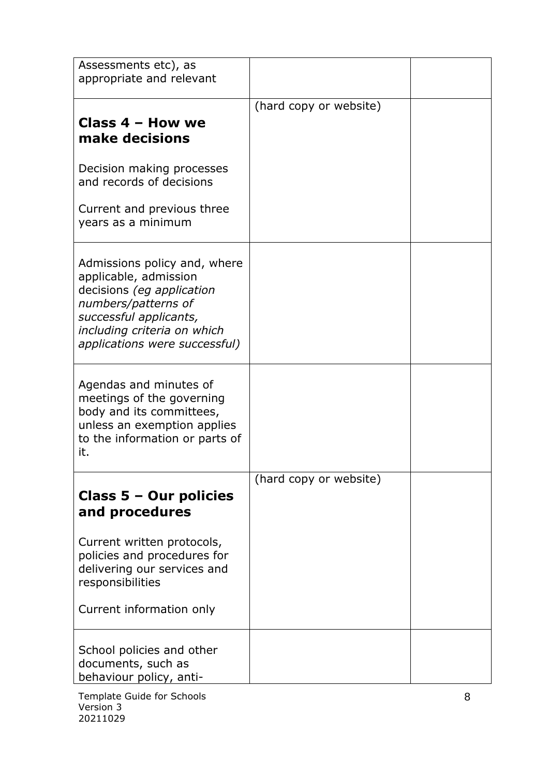| Assessments etc), as<br>appropriate and relevant                                                                                                                                                    |                        |  |
|-----------------------------------------------------------------------------------------------------------------------------------------------------------------------------------------------------|------------------------|--|
| Class 4 - How we<br>make decisions<br>Decision making processes                                                                                                                                     | (hard copy or website) |  |
| and records of decisions<br>Current and previous three<br>years as a minimum                                                                                                                        |                        |  |
| Admissions policy and, where<br>applicable, admission<br>decisions (eg application<br>numbers/patterns of<br>successful applicants,<br>including criteria on which<br>applications were successful) |                        |  |
| Agendas and minutes of<br>meetings of the governing<br>body and its committees,<br>unless an exemption applies<br>to the information or parts of<br>it.                                             |                        |  |
| Class 5 - Our policies<br>and procedures                                                                                                                                                            | (hard copy or website) |  |
| Current written protocols,<br>policies and procedures for<br>delivering our services and<br>responsibilities<br>Current information only                                                            |                        |  |
| School policies and other<br>documents, such as<br>behaviour policy, anti-                                                                                                                          |                        |  |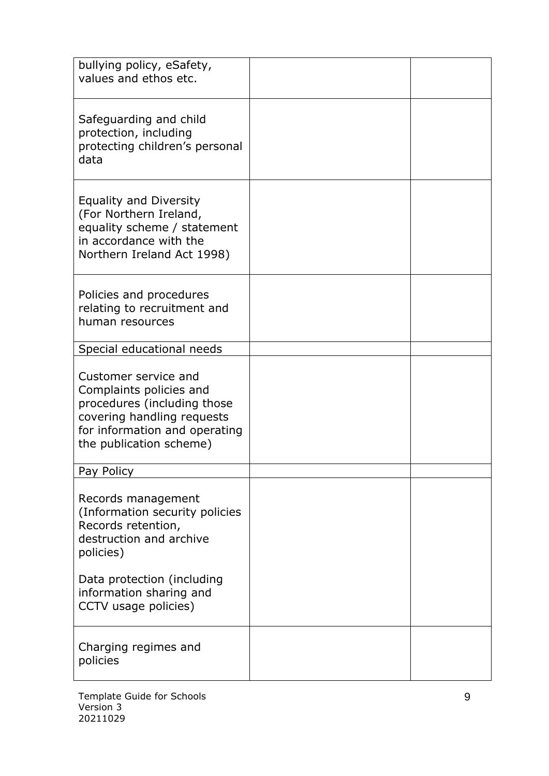| bullying policy, eSafety,<br>values and ethos etc.                                                                                                                       |  |
|--------------------------------------------------------------------------------------------------------------------------------------------------------------------------|--|
| Safeguarding and child<br>protection, including<br>protecting children's personal<br>data                                                                                |  |
| Equality and Diversity<br>(For Northern Ireland,<br>equality scheme / statement<br>in accordance with the<br>Northern Ireland Act 1998)                                  |  |
| Policies and procedures<br>relating to recruitment and<br>human resources                                                                                                |  |
| Special educational needs                                                                                                                                                |  |
| Customer service and<br>Complaints policies and<br>procedures (including those<br>covering handling requests<br>for information and operating<br>the publication scheme) |  |
| Pay Policy                                                                                                                                                               |  |
| Records management<br>(Information security policies<br>Records retention,<br>destruction and archive<br>policies)                                                       |  |
| Data protection (including<br>information sharing and<br>CCTV usage policies)                                                                                            |  |
| Charging regimes and<br>policies                                                                                                                                         |  |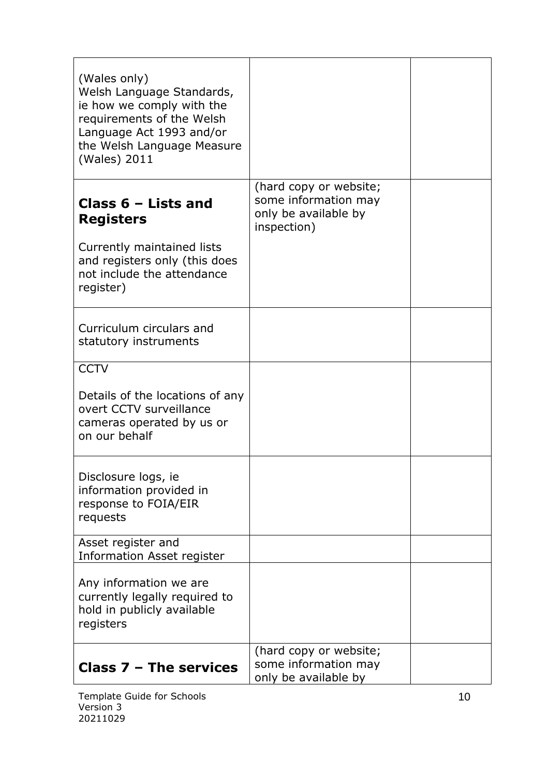| (Wales only)<br>Welsh Language Standards,<br>ie how we comply with the<br>requirements of the Welsh<br>Language Act 1993 and/or<br>the Welsh Language Measure<br>(Wales) 2011 |                                                                                       |  |
|-------------------------------------------------------------------------------------------------------------------------------------------------------------------------------|---------------------------------------------------------------------------------------|--|
| Class $6$ – Lists and<br><b>Registers</b><br>Currently maintained lists<br>and registers only (this does<br>not include the attendance<br>register)                           | (hard copy or website;<br>some information may<br>only be available by<br>inspection) |  |
| Curriculum circulars and<br>statutory instruments                                                                                                                             |                                                                                       |  |
| <b>CCTV</b><br>Details of the locations of any<br>overt CCTV surveillance<br>cameras operated by us or<br>on our behalf                                                       |                                                                                       |  |
| Disclosure logs, ie<br>information provided in<br>response to FOIA/EIR<br>requests                                                                                            |                                                                                       |  |
| Asset register and<br><b>Information Asset register</b>                                                                                                                       |                                                                                       |  |
| Any information we are<br>currently legally required to<br>hold in publicly available<br>registers                                                                            |                                                                                       |  |
| <b>Class 7 - The services</b>                                                                                                                                                 | (hard copy or website;<br>some information may<br>only be available by                |  |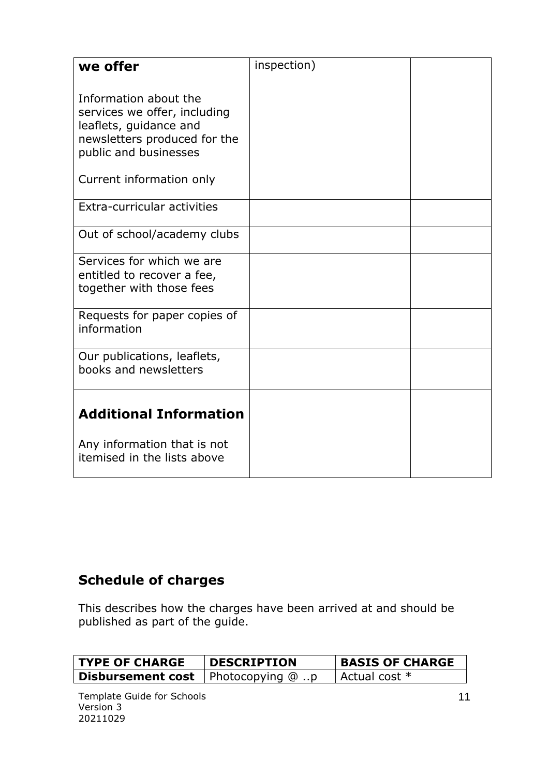| we offer                                                                                                                                 | inspection) |  |
|------------------------------------------------------------------------------------------------------------------------------------------|-------------|--|
| Information about the<br>services we offer, including<br>leaflets, guidance and<br>newsletters produced for the<br>public and businesses |             |  |
| Current information only                                                                                                                 |             |  |
| Extra-curricular activities                                                                                                              |             |  |
| Out of school/academy clubs                                                                                                              |             |  |
| Services for which we are<br>entitled to recover a fee,<br>together with those fees                                                      |             |  |
| Requests for paper copies of<br>information                                                                                              |             |  |
| Our publications, leaflets,<br>books and newsletters                                                                                     |             |  |
| <b>Additional Information</b>                                                                                                            |             |  |
| Any information that is not<br>itemised in the lists above                                                                               |             |  |

## **Schedule of charges**

This describes how the charges have been arrived at and should be published as part of the guide.

| <b>TYPE OF CHARGE</b>                       | <b>DESCRIPTION</b> | <b>BASIS OF CHARGE</b> |
|---------------------------------------------|--------------------|------------------------|
| <b>Disbursement cost</b>   Photocopying @ p |                    | Actual cost *          |